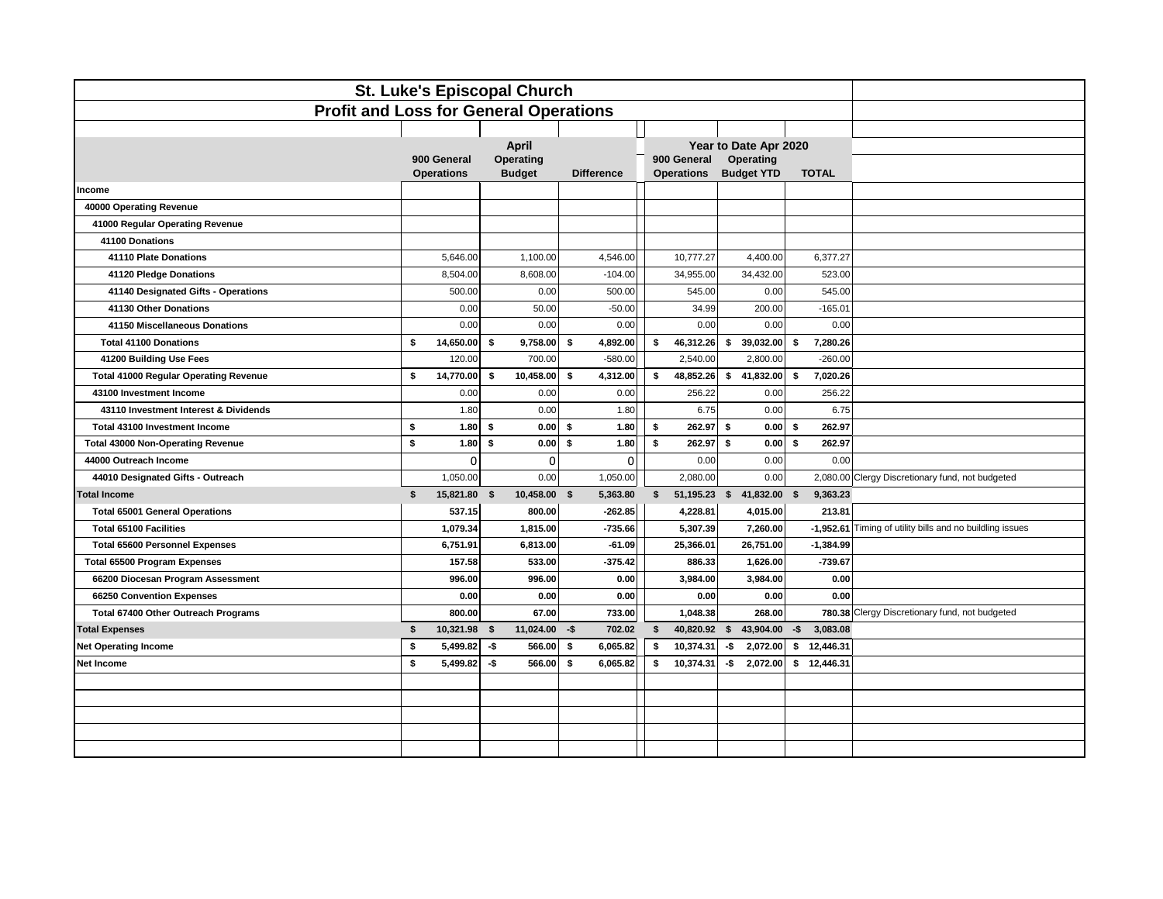| <b>St. Luke's Episcopal Church</b>            |    |                                  |                            |                 |              |                   |    |                                  |     |                                |              |              |                                                 |
|-----------------------------------------------|----|----------------------------------|----------------------------|-----------------|--------------|-------------------|----|----------------------------------|-----|--------------------------------|--------------|--------------|-------------------------------------------------|
| <b>Profit and Loss for General Operations</b> |    |                                  |                            |                 |              |                   |    |                                  |     |                                |              |              |                                                 |
|                                               |    |                                  |                            |                 |              |                   |    |                                  |     |                                |              |              |                                                 |
|                                               |    |                                  | April                      |                 |              |                   |    |                                  |     | Year to Date Apr 2020          |              |              |                                                 |
|                                               |    | 900 General<br><b>Operations</b> | Operating<br><b>Budget</b> |                 |              | <b>Difference</b> |    | 900 General<br><b>Operations</b> |     | Operating<br><b>Budget YTD</b> |              | <b>TOTAL</b> |                                                 |
| Income                                        |    |                                  |                            |                 |              |                   |    |                                  |     |                                |              |              |                                                 |
| 40000 Operating Revenue                       |    |                                  |                            |                 |              |                   |    |                                  |     |                                |              |              |                                                 |
| 41000 Regular Operating Revenue               |    |                                  |                            |                 |              |                   |    |                                  |     |                                |              |              |                                                 |
| 41100 Donations                               |    |                                  |                            |                 |              |                   |    |                                  |     |                                |              |              |                                                 |
| 41110 Plate Donations                         |    | 5,646.00                         |                            | 1,100.00        |              | 4,546.00          |    | 10,777.27                        |     | 4,400.00                       |              | 6,377.27     |                                                 |
| 41120 Pledge Donations                        |    | 8,504.00                         |                            | 8,608.00        |              | $-104.00$         |    | 34,955.00                        |     | 34,432.00                      |              | 523.00       |                                                 |
| 41140 Designated Gifts - Operations           |    | 500.00                           |                            | 0.00            |              | 500.00            |    | 545.00                           |     | 0.00                           |              | 545.00       |                                                 |
| 41130 Other Donations                         |    | 0.00                             |                            | 50.00           |              | $-50.00$          |    | 34.99                            |     | 200.00                         |              | $-165.01$    |                                                 |
| 41150 Miscellaneous Donations                 |    | 0.00                             |                            | 0.00            |              | 0.00              |    | 0.00                             |     | 0.00                           |              | 0.00         |                                                 |
| <b>Total 41100 Donations</b>                  | \$ | 14,650.00                        | s.                         | 9,758.00        | Ŝ.           | 4,892.00          |    | \$<br>46,312.26                  | s.  | 39,032.00                      | S.           | 7,280.26     |                                                 |
| 41200 Building Use Fees                       |    | 120.00                           |                            | 700.00          |              | $-580.00$         |    | 2,540.00                         |     | 2,800.00                       |              | $-260.00$    |                                                 |
| <b>Total 41000 Regular Operating Revenue</b>  | \$ | 14,770.00                        | \$                         | 10,458.00       | \$           | 4,312.00          |    | \$<br>48,852.26                  |     | \$41,832.00                    | \$           | 7,020.26     |                                                 |
| 43100 Investment Income                       |    | 0.00                             |                            | 0.00            |              | 0.00              |    | 256.22                           |     | 0.00                           |              | 256.22       |                                                 |
| 43110 Investment Interest & Dividends         |    | 1.80                             |                            | 0.00            |              | 1.80              |    | 6.75                             |     | 0.00                           |              | 6.75         |                                                 |
| Total 43100 Investment Income                 | \$ | 1.80                             | \$                         | 0.00            | \$           | 1.80              | \$ | 262.97                           | \$  | 0.00                           | \$           | 262.97       |                                                 |
| <b>Total 43000 Non-Operating Revenue</b>      | \$ | 1.80                             | \$                         | 0.00            | \$           | 1.80              | \$ | 262.97                           | \$  | 0.00                           | \$           | 262.97       |                                                 |
| 44000 Outreach Income                         |    | 0                                |                            | 0               |              | 0                 |    | 0.00                             |     | 0.00                           |              | 0.00         |                                                 |
| 44010 Designated Gifts - Outreach             |    | 1,050.00                         |                            | 0.00            |              | 1,050.00          |    | 2,080.00                         |     | 0.00                           |              | 2,080.00     | Clergy Discretionary fund, not budgeted         |
| <b>Total Income</b>                           | \$ | 15,821.80                        | \$                         | 10,458.00       | $\mathbf{s}$ | 5,363.80          |    | \$<br>51,195.23 \$ 41,832.00     |     |                                | $\mathbf{s}$ | 9,363.23     |                                                 |
| <b>Total 65001 General Operations</b>         |    | 537.15                           |                            | 800.00          |              | $-262.85$         |    | 4,228.81                         |     | 4,015.00                       |              | 213.81       |                                                 |
| <b>Total 65100 Facilities</b>                 |    | 1,079.34                         |                            | 1,815.00        |              | $-735.66$         |    | 5,307.39                         |     | 7,260.00                       |              | $-1,952.61$  | Timing of utility bills and no buildling issues |
| <b>Total 65600 Personnel Expenses</b>         |    | 6,751.91                         |                            | 6,813.00        |              | $-61.09$          |    | 25,366.01                        |     | 26,751.00                      |              | $-1,384.99$  |                                                 |
| <b>Total 65500 Program Expenses</b>           |    | 157.58                           |                            | 533.00          |              | $-375.42$         |    | 886.33                           |     | 1,626.00                       |              | $-739.67$    |                                                 |
| 66200 Diocesan Program Assessment             |    | 996.00                           |                            | 996.00          |              | 0.00              |    | 3,984.00                         |     | 3,984.00                       |              | 0.00         |                                                 |
| 66250 Convention Expenses                     |    | 0.00                             |                            | 0.00            |              | 0.00              |    | 0.00                             |     | 0.00                           |              | 0.00         |                                                 |
| Total 67400 Other Outreach Programs           |    | 800.00                           |                            | 67.00           |              | 733.00            |    | 1,048.38                         |     | 268.00                         |              |              | 780.38 Clergy Discretionary fund, not budgeted  |
| <b>Total Expenses</b>                         | \$ | 10,321.98 \$                     |                            | $11,024.00 - $$ |              | 702.02            |    | S.<br>40,820.92 \$               |     | 43,904.00                      | $-5$         | 3,083.08     |                                                 |
| <b>Net Operating Income</b>                   | \$ | 5,499.82                         | -\$                        | 566.00          | \$           | 6,065.82          |    | s.<br>10,374.31                  | -\$ | 2,072.00                       | s.           | 12,446.31    |                                                 |
| Net Income                                    | \$ | 5,499.82                         | -\$                        | 566.00          | \$           | 6,065.82          |    | 10,374.31<br>\$                  | -\$ | 2,072.00                       | \$           | 12,446.31    |                                                 |
|                                               |    |                                  |                            |                 |              |                   |    |                                  |     |                                |              |              |                                                 |
|                                               |    |                                  |                            |                 |              |                   |    |                                  |     |                                |              |              |                                                 |
|                                               |    |                                  |                            |                 |              |                   |    |                                  |     |                                |              |              |                                                 |
|                                               |    |                                  |                            |                 |              |                   |    |                                  |     |                                |              |              |                                                 |
|                                               |    |                                  |                            |                 |              |                   |    |                                  |     |                                |              |              |                                                 |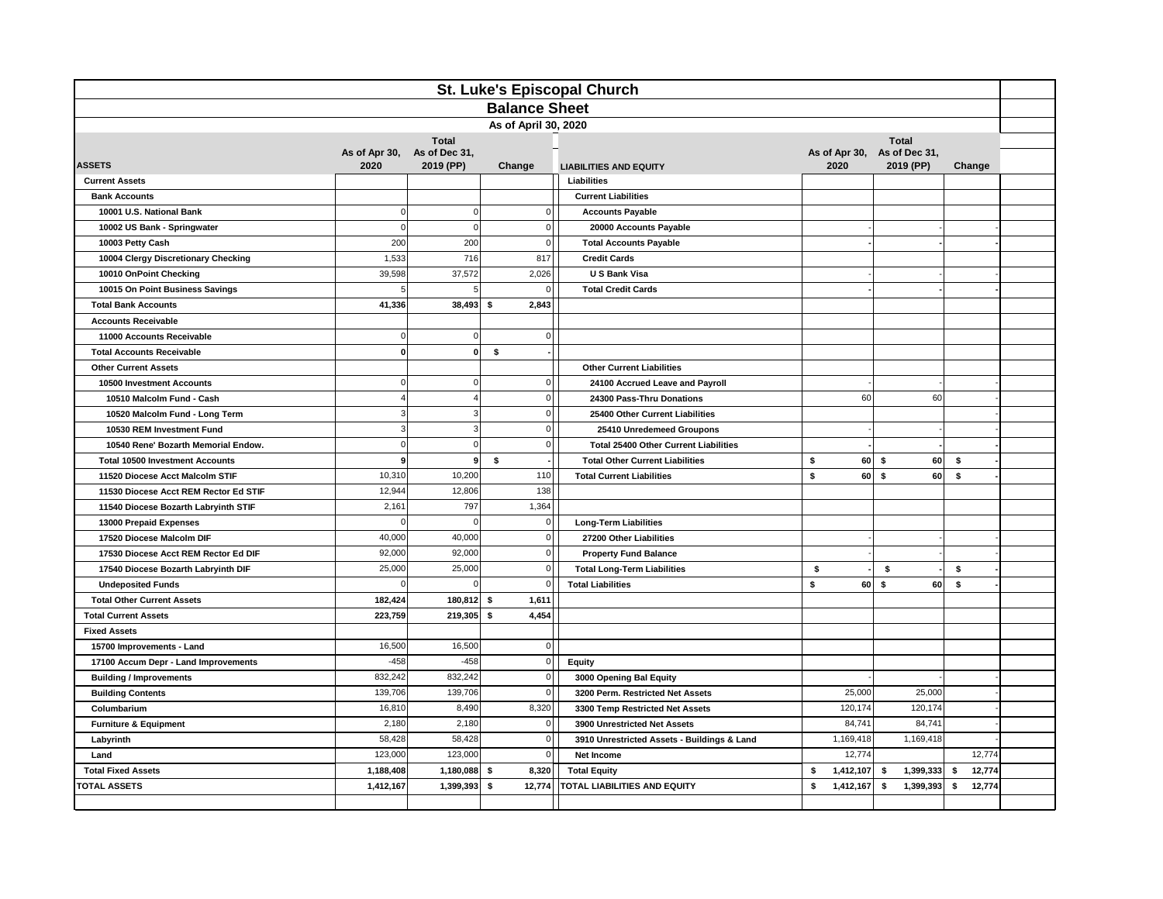| St. Luke's Episcopal Church            |                       |                            |                      |                                                                |                 |                                          |              |  |  |
|----------------------------------------|-----------------------|----------------------------|----------------------|----------------------------------------------------------------|-----------------|------------------------------------------|--------------|--|--|
|                                        |                       |                            | <b>Balance Sheet</b> |                                                                |                 |                                          |              |  |  |
| As of April 30, 2020                   |                       |                            |                      |                                                                |                 |                                          |              |  |  |
|                                        |                       | <b>Total</b>               |                      |                                                                |                 | <b>Total</b>                             |              |  |  |
| <b>ASSETS</b>                          | As of Apr 30,<br>2020 | As of Dec 31,<br>2019 (PP) | Change               | <b>LIABILITIES AND EQUITY</b>                                  | 2020            | As of Apr 30, As of Dec 31,<br>2019 (PP) | Change       |  |  |
| <b>Current Assets</b>                  |                       |                            |                      | Liabilities                                                    |                 |                                          |              |  |  |
| <b>Bank Accounts</b>                   |                       |                            |                      | <b>Current Liabilities</b>                                     |                 |                                          |              |  |  |
| 10001 U.S. National Bank               | $\Omega$              | $\mathbf 0$                |                      | $\Omega$<br><b>Accounts Payable</b>                            |                 |                                          |              |  |  |
| 10002 US Bank - Springwater            | $\overline{0}$        | $\bf 0$                    |                      | 0 <br>20000 Accounts Payable                                   |                 |                                          |              |  |  |
| 10003 Petty Cash                       | 200                   | 200                        |                      | $\mathbf 0$<br><b>Total Accounts Payable</b>                   |                 |                                          |              |  |  |
| 10004 Clergy Discretionary Checking    | 1,533                 | 716                        |                      | 817<br><b>Credit Cards</b>                                     |                 |                                          |              |  |  |
| 10010 OnPoint Checking                 | 39,598                | 37,572                     | 2,026                | U S Bank Visa                                                  |                 |                                          |              |  |  |
| 10015 On Point Business Savings        |                       | 5                          |                      | $\overline{0}$<br><b>Total Credit Cards</b>                    |                 |                                          |              |  |  |
| <b>Total Bank Accounts</b>             | 41,336                | 38,493                     | \$<br>2,843          |                                                                |                 |                                          |              |  |  |
| <b>Accounts Receivable</b>             |                       |                            |                      |                                                                |                 |                                          |              |  |  |
| 11000 Accounts Receivable              | $\Omega$              | $\pmb{0}$                  |                      | $\mathbf 0$                                                    |                 |                                          |              |  |  |
| <b>Total Accounts Receivable</b>       | $\mathbf{0}$          | $\mathbf{0}$               | \$                   |                                                                |                 |                                          |              |  |  |
| <b>Other Current Assets</b>            |                       |                            |                      | <b>Other Current Liabilities</b>                               |                 |                                          |              |  |  |
| 10500 Investment Accounts              | $\Omega$              | $\bf 0$                    |                      | $\overline{0}$<br>24100 Accrued Leave and Payroll              |                 |                                          |              |  |  |
| 10510 Malcolm Fund - Cash              |                       | $\overline{4}$             |                      | $\overline{0}$<br>24300 Pass-Thru Donations                    | 60              | 60                                       |              |  |  |
| 10520 Malcolm Fund - Long Term         | 3                     | $\mathsf 3$                |                      | $\overline{0}$<br>25400 Other Current Liabilities              |                 |                                          |              |  |  |
| 10530 REM Investment Fund              | 3                     | $\mathsf 3$                |                      | $\mathbf 0$<br>25410 Unredemeed Groupons                       |                 |                                          |              |  |  |
| 10540 Rene' Bozarth Memorial Endow.    | $\Omega$              | $\bf 0$                    |                      | $\overline{0}$<br><b>Total 25400 Other Current Liabilities</b> |                 |                                          |              |  |  |
| <b>Total 10500 Investment Accounts</b> | 9                     | 9 <sup>1</sup>             | \$                   | <b>Total Other Current Liabilities</b>                         | \$              | $60$ \$<br>60                            | \$           |  |  |
| 11520 Diocese Acct Malcolm STIF        | 10,310                | 10,200                     |                      | 110<br><b>Total Current Liabilities</b>                        | \$<br>60        | s.<br>60                                 | \$           |  |  |
| 11530 Diocese Acct REM Rector Ed STIF  | 12,944                | 12,806                     |                      | 138                                                            |                 |                                          |              |  |  |
| 11540 Diocese Bozarth Labryinth STIF   | 2,161                 | 797                        | 1,364                |                                                                |                 |                                          |              |  |  |
| 13000 Prepaid Expenses                 | $\Omega$              | $\overline{0}$             |                      | $\mathbf 0$<br><b>Long-Term Liabilities</b>                    |                 |                                          |              |  |  |
| 17520 Diocese Malcolm DIF              | 40,000                | 40,000                     |                      | $\overline{0}$<br>27200 Other Liabilities                      |                 |                                          |              |  |  |
| 17530 Diocese Acct REM Rector Ed DIF   | 92,000                | 92,000                     |                      | 0 <br><b>Property Fund Balance</b>                             |                 |                                          |              |  |  |
| 17540 Diocese Bozarth Labryinth DIF    | 25,000                | 25,000                     |                      | 0 <br><b>Total Long-Term Liabilities</b>                       | \$              | \$                                       | \$           |  |  |
| <b>Undeposited Funds</b>               | $\Omega$              | $\mathbf 0$                |                      | <b>Total Liabilities</b><br>$\Omega$                           | \$<br>60        | s.<br>60                                 | \$           |  |  |
| <b>Total Other Current Assets</b>      | 182,424               | 180,812                    | 1,611<br>\$          |                                                                |                 |                                          |              |  |  |
| <b>Total Current Assets</b>            | 223,759               | 219,305                    | 4,454<br>\$          |                                                                |                 |                                          |              |  |  |
| <b>Fixed Assets</b>                    |                       |                            |                      |                                                                |                 |                                          |              |  |  |
| 15700 Improvements - Land              | 16,500                | 16,500                     |                      | $\overline{0}$                                                 |                 |                                          |              |  |  |
| 17100 Accum Depr - Land Improvements   | $-458$                | $-458$                     |                      | $\overline{0}$<br>Equity                                       |                 |                                          |              |  |  |
| <b>Building / Improvements</b>         | 832,242               | 832,242                    |                      | 0 <br>3000 Opening Bal Equity                                  |                 |                                          |              |  |  |
| <b>Building Contents</b>               | 139,706               | 139,706                    |                      | $\mathbf 0$<br>3200 Perm. Restricted Net Assets                | 25,000          | 25,000                                   |              |  |  |
| Columbarium                            | 16,810                | 8,490                      | 8,320                | 3300 Temp Restricted Net Assets                                | 120,174         | 120,174                                  |              |  |  |
| <b>Furniture &amp; Equipment</b>       | 2,180                 | 2,180                      |                      | $\mathbf 0$<br>3900 Unrestricted Net Assets                    | 84,741          | 84,741                                   |              |  |  |
| Labyrinth                              | 58,428                | 58,428                     |                      | 0 <br>3910 Unrestricted Assets - Buildings & Land              | 1,169,418       | 1,169,418                                |              |  |  |
| Land                                   | 123,000               | 123,000                    |                      | $\overline{0}$<br>Net Income                                   | 12,774          |                                          | 12,774       |  |  |
| <b>Total Fixed Assets</b>              | 1,188,408             | 1,180,088                  | 8,320<br>- \$        | <b>Total Equity</b>                                            | s<br>1,412,107  | 1,399,333<br>\$                          | 12,774<br>\$ |  |  |
| <b>TOTAL ASSETS</b>                    | 1,412,167             | 1,399,393                  | -S<br>12,774         | <b>TOTAL LIABILITIES AND EQUITY</b>                            | 1,412,167<br>\$ | 1,399,393<br>\$                          | 12,774<br>\$ |  |  |
|                                        |                       |                            |                      |                                                                |                 |                                          |              |  |  |